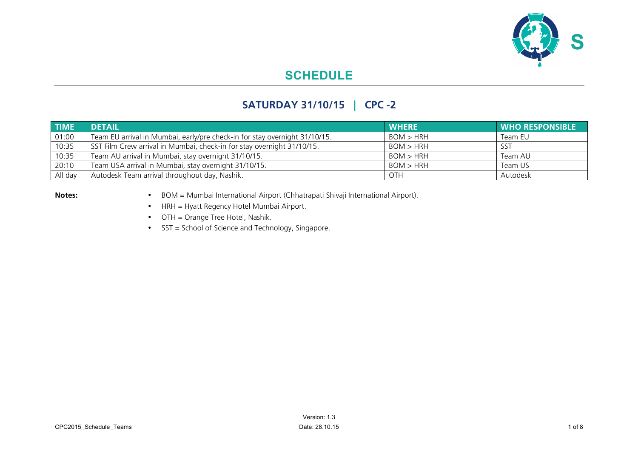

## **SATURDAY 31/10/15 | CPC -2**

| <b>TIME</b> | <b>DETAIL</b>                                                              | <b>WHERE</b> | <b>WHO RESPONSIBLE</b> |
|-------------|----------------------------------------------------------------------------|--------------|------------------------|
| 01:00       | Team EU arrival in Mumbai, early/pre check-in for stay overnight 31/10/15. | BOM > HRH    | Team EU                |
| 10:35       | SST Film Crew arrival in Mumbai, check-in for stay overnight 31/10/15.     | BOM > HRH    | SST                    |
| 10:35       | Team AU arrival in Mumbai, stay overnight 31/10/15.                        | BOM > HRH    | Team AU                |
| 20:10       | Team USA arrival in Mumbai, stay overnight 31/10/15.                       | BOM > HRH    | Team US                |
| All day     | Autodesk Team arrival throughout day, Nashik.                              | OTH          | Autodesk               |

- **Notes:** BOM = Mumbai International Airport (Chhatrapati Shivaji International Airport).
	- HRH = Hyatt Regency Hotel Mumbai Airport.
	- OTH = Orange Tree Hotel, Nashik.
	- SST = School of Science and Technology, Singapore.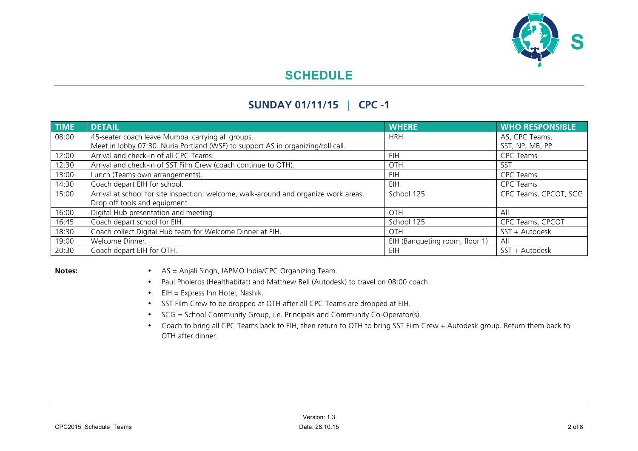

## **SUNDAY 01/11/15 | CPC -1**

| <b>TIME</b> | <b>DETAIL</b>                                                                        | <b>WHERE</b>                   | <b>WHO RESPONSIBLE</b> |
|-------------|--------------------------------------------------------------------------------------|--------------------------------|------------------------|
| 08:00       | 45-seater coach leave Mumbai carrying all groups.                                    | <b>HRH</b>                     | AS, CPC Teams,         |
|             | Meet in lobby 07:30. Nuria Portland (WSF) to support AS in organizing/roll call.     |                                | SST, NP, MB, PP        |
| 12:00       | Arrival and check-in of all CPC Teams.                                               | EIH                            | CPC Teams              |
| 12:30       | Arrival and check-in of SST Film Crew (coach continue to OTH).                       | OTH                            | SST                    |
| 13:00       | Lunch (Teams own arrangements).                                                      | EIH                            | <b>CPC Teams</b>       |
| 14:30       | Coach depart EIH for school.                                                         | EIH                            | <b>CPC Teams</b>       |
| 15:00       | Arrival at school for site inspection: welcome, walk-around and organize work areas. | School 125                     | CPC Teams, CPCOT, SCG  |
|             | Drop off tools and equipment.                                                        |                                |                        |
| 16:00       | Digital Hub presentation and meeting.                                                | OTH                            | All                    |
| 16:45       | Coach depart school for EIH.                                                         | School 125                     | CPC Teams, CPCOT       |
| 18:30       | Coach collect Digital Hub team for Welcome Dinner at EIH.                            | <b>OTH</b>                     | SST + Autodesk         |
| 19:00       | Welcome Dinner.                                                                      | EIH (Banqueting room, floor 1) | All                    |
| 20:30       | Coach depart EIH for OTH.                                                            | EIH                            | SST + Autodesk         |

- **Notes:** AS = Anjali Singh, IAPMO India/CPC Organizing Team.
	- Paul Pholeros (Healthabitat) and Matthew Bell (Autodesk) to travel on 08:00 coach.
	- EIH = Express Inn Hotel, Nashik.
	- SST Film Crew to be dropped at OTH after all CPC Teams are dropped at EIH.
	- SCG = School Community Group, i.e. Principals and Community Co-Operator(s).
	- Coach to bring all CPC Teams back to EIH, then return to OTH to bring SST Film Crew + Autodesk group. Return them back to OTH after dinner.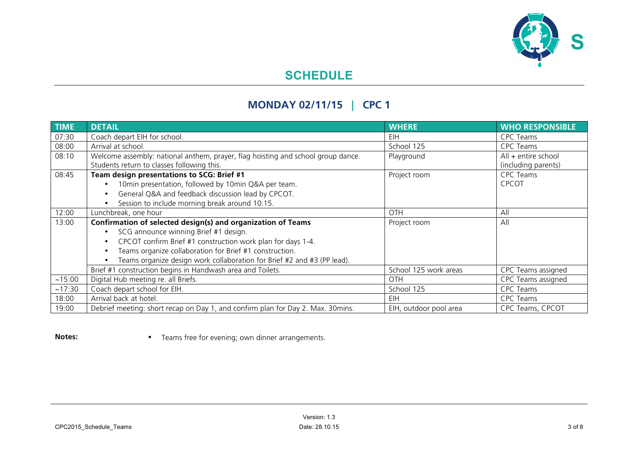

# **MONDAY 02/11/15 | CPC 1**

| <b>TIME</b> | <b>DETAIL</b>                                                                                                                                                                                                                                                                                              | <b>WHERE</b>           | <b>WHO RESPONSIBLE</b>                       |
|-------------|------------------------------------------------------------------------------------------------------------------------------------------------------------------------------------------------------------------------------------------------------------------------------------------------------------|------------------------|----------------------------------------------|
| 07:30       | Coach depart EIH for school.                                                                                                                                                                                                                                                                               | EIH.                   | CPC Teams                                    |
| 08:00       | Arrival at school.                                                                                                                                                                                                                                                                                         | School 125             | <b>CPC Teams</b>                             |
| 08:10       | Welcome assembly: national anthem, prayer, flag hoisting and school group dance.<br>Students return to classes following this.                                                                                                                                                                             | Playground             | $All + entire school$<br>(including parents) |
| 08:45       | Team design presentations to SCG: Brief #1<br>10min presentation, followed by 10min Q&A per team.<br>General Q&A and feedback discussion lead by CPCOT.<br>Session to include morning break around 10:15.                                                                                                  | Project room           | <b>CPC Teams</b><br><b>CPCOT</b>             |
| 12:00       | Lunchbreak, one hour                                                                                                                                                                                                                                                                                       | <b>OTH</b>             | All                                          |
| 13:00       | Confirmation of selected design(s) and organization of Teams<br>SCG announce winning Brief #1 design.<br>CPCOT confirm Brief #1 construction work plan for days 1-4.<br>Teams organize collaboration for Brief #1 construction.<br>Teams organize design work collaboration for Brief #2 and #3 (PP lead). | Project room           | All                                          |
|             | Brief #1 construction begins in Handwash area and Toilets.                                                                                                                                                                                                                                                 | School 125 work areas  | CPC Teams assigned                           |
| ~15:00      | Digital Hub meeting re. all Briefs.                                                                                                                                                                                                                                                                        | <b>OTH</b>             | CPC Teams assigned                           |
| ~17:30      | Coach depart school for EIH.                                                                                                                                                                                                                                                                               | School 125             | <b>CPC Teams</b>                             |
| 18:00       | Arrival back at hotel.                                                                                                                                                                                                                                                                                     | EIH                    | CPC Teams                                    |
| 19:00       | Debrief meeting: short recap on Day 1, and confirm plan for Day 2. Max. 30mins.                                                                                                                                                                                                                            | EIH, outdoor pool area | CPC Teams, CPCOT                             |

**Notes:** • Teams free for evening; own dinner arrangements.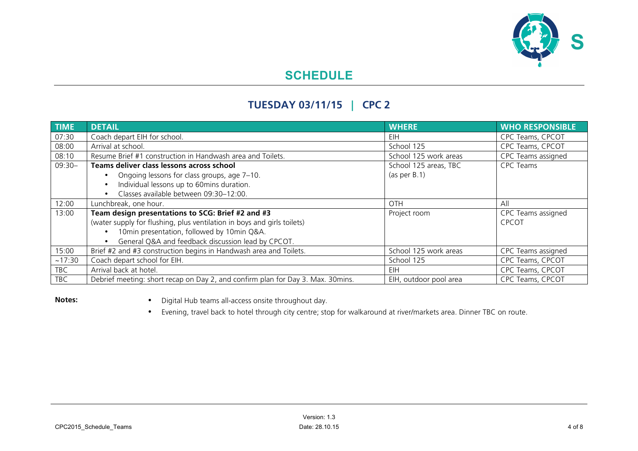

### **TUESDAY 03/11/15 | CPC 2**

| <b>TIME</b> | <b>DETAIL</b>                                                                   | <b>WHERE</b>           | <b>WHO RESPONSIBLE</b> |
|-------------|---------------------------------------------------------------------------------|------------------------|------------------------|
| 07:30       | Coach depart EIH for school.                                                    | EIH                    | CPC Teams, CPCOT       |
| 08:00       | Arrival at school.                                                              | School 125             | CPC Teams, CPCOT       |
| 08:10       | Resume Brief #1 construction in Handwash area and Toilets.                      | School 125 work areas  | CPC Teams assigned     |
| $09:30-$    | Teams deliver class lessons across school                                       | School 125 areas, TBC  | <b>CPC Teams</b>       |
|             | Ongoing lessons for class groups, age 7-10.                                     | (as per B.1)           |                        |
|             | Individual lessons up to 60mins duration.                                       |                        |                        |
|             | Classes available between 09:30-12:00.                                          |                        |                        |
| 12:00       | Lunchbreak, one hour.                                                           | <b>OTH</b>             | All                    |
| 13:00       | Team design presentations to SCG: Brief #2 and #3                               | Project room           | CPC Teams assigned     |
|             | (water supply for flushing, plus ventilation in boys and girls toilets)         |                        | <b>CPCOT</b>           |
|             | 10min presentation, followed by 10min Q&A.                                      |                        |                        |
|             | General Q&A and feedback discussion lead by CPCOT.                              |                        |                        |
| 15:00       | Brief #2 and #3 construction begins in Handwash area and Toilets.               | School 125 work areas  | CPC Teams assigned     |
| ~17:30      | Coach depart school for EIH.                                                    | School 125             | CPC Teams, CPCOT       |
| <b>TBC</b>  | Arrival back at hotel.                                                          | EIH                    | CPC Teams, CPCOT       |
| <b>TBC</b>  | Debrief meeting: short recap on Day 2, and confirm plan for Day 3. Max. 30mins. | EIH, outdoor pool area | CPC Teams, CPCOT       |

**Notes:** • Digital Hub teams all-access onsite throughout day.

• Evening, travel back to hotel through city centre; stop for walkaround at river/markets area. Dinner TBC on route.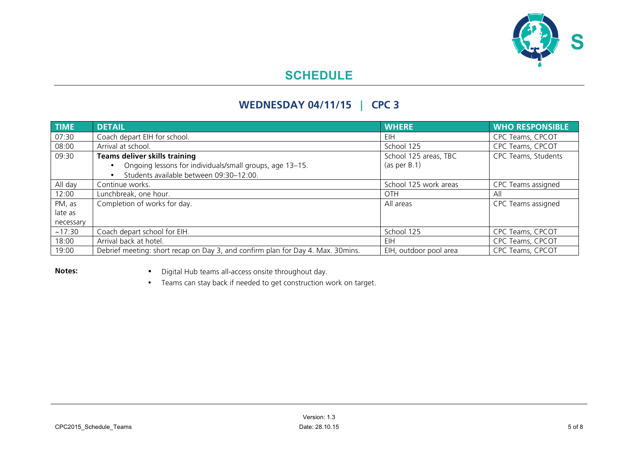

### **WEDNESDAY 04/11/15 | CPC 3**

| <b>TIME</b> | <b>DETAIL</b>                                                                   | <b>WHERE</b>           | <b>WHO RESPONSIBLE</b> |
|-------------|---------------------------------------------------------------------------------|------------------------|------------------------|
| 07:30       | Coach depart EIH for school.                                                    | EIH.                   | CPC Teams, CPCOT       |
| 08:00       | Arrival at school.                                                              | School 125             | CPC Teams, CPCOT       |
| 09:30       | <b>Teams deliver skills training</b>                                            | School 125 areas, TBC  | CPC Teams, Students    |
|             | Ongoing lessons for individuals/small groups, age 13-15.                        | (as per B.1)           |                        |
|             | Students available between 09:30-12:00.                                         |                        |                        |
| All day     | Continue works.                                                                 | School 125 work areas  | CPC Teams assigned     |
| 12:00       | Lunchbreak, one hour.                                                           | OTH                    | All                    |
| PM, as      | Completion of works for day.                                                    | All areas              | CPC Teams assigned     |
| late as     |                                                                                 |                        |                        |
| necessary   |                                                                                 |                        |                        |
| ~17:30      | Coach depart school for EIH.                                                    | School 125             | CPC Teams, CPCOT       |
| 18:00       | Arrival back at hotel.                                                          | EIH                    | CPC Teams, CPCOT       |
| 19:00       | Debrief meeting: short recap on Day 3, and confirm plan for Day 4. Max. 30mins. | EIH, outdoor pool area | CPC Teams, CPCOT       |

**Notes:** • Digital Hub teams all-access onsite throughout day.

• Teams can stay back if needed to get construction work on target.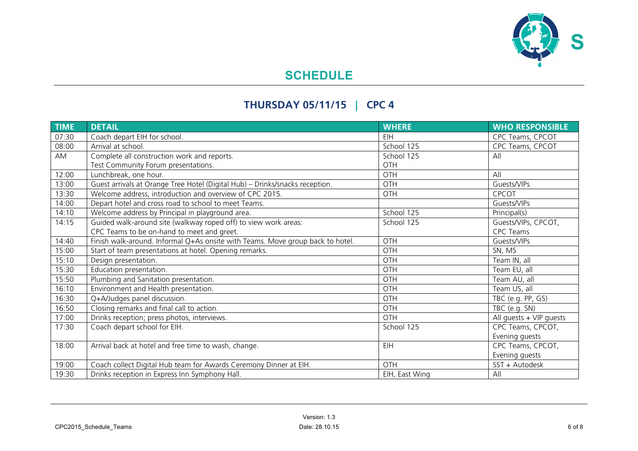

# **THURSDAY 05/11/15 | CPC 4**

| <b>TIME</b> | <b>DETAIL</b>                                                                  | <b>WHERE</b>   | <b>WHO RESPONSIBLE</b>    |
|-------------|--------------------------------------------------------------------------------|----------------|---------------------------|
| 07:30       | Coach depart EIH for school.                                                   | EIH            | CPC Teams, CPCOT          |
| 08:00       | Arrival at school.                                                             | School 125     | CPC Teams, CPCOT          |
| AM          | Complete all construction work and reports.                                    | School 125     | All                       |
|             | Test Community Forum presentations.                                            | OTH            |                           |
| 12:00       | Lunchbreak, one hour.                                                          | <b>OTH</b>     | All                       |
| 13:00       | Guest arrivals at Orange Tree Hotel (Digital Hub) - Drinks/snacks reception.   | OTH            | Guests/VIPs               |
| 13:30       | Welcome address, introduction and overview of CPC 2015.                        | OTH            | <b>CPCOT</b>              |
| 14:00       | Depart hotel and cross road to school to meet Teams.                           |                | Guests/VIPs               |
| 14:10       | Welcome address by Principal in playground area.                               | School 125     | Principal(s)              |
| 14:15       | Guided walk-around site (walkway roped off) to view work areas:                | School 125     | Guests/VIPs, CPCOT,       |
|             | CPC Teams to be on-hand to meet and greet.                                     |                | <b>CPC Teams</b>          |
| 14:40       | Finish walk-around. Informal Q+As onsite with Teams. Move group back to hotel. | OTH            | Guests/VIPs               |
| 15:00       | Start of team presentations at hotel. Opening remarks.                         | OTH            | SN, MS                    |
| 15:10       | Design presentation.                                                           | OTH            | Team IN, all              |
| 15:30       | Education presentation.                                                        | OTH            | Team EU, all              |
| 15:50       | Plumbing and Sanitation presentation.                                          | OTH            | Team AU, all              |
| 16:10       | Environment and Health presentation.                                           | OTH            | Team US, all              |
| 16:30       | Q+A/Judges panel discussion.                                                   | OTH            | TBC (e.g. PP, GS)         |
| 16:50       | Closing remarks and final call to action.                                      | OTH            | TBC (e.g. SN)             |
| 17:00       | Drinks reception; press photos, interviews.                                    | <b>OTH</b>     | All guests $+$ VIP guests |
| 17:30       | Coach depart school for EIH.                                                   | School 125     | CPC Teams, CPCOT,         |
|             |                                                                                |                | Evening guests            |
| 18:00       | Arrival back at hotel and free time to wash, change.                           | EIH            | CPC Teams, CPCOT,         |
|             |                                                                                |                | Evening guests            |
| 19:00       | Coach collect Digital Hub team for Awards Ceremony Dinner at EIH.              | OTH            | SST + Autodesk            |
| 19:30       | Drinks reception in Express Inn Symphony Hall.                                 | EIH, East Wing | All                       |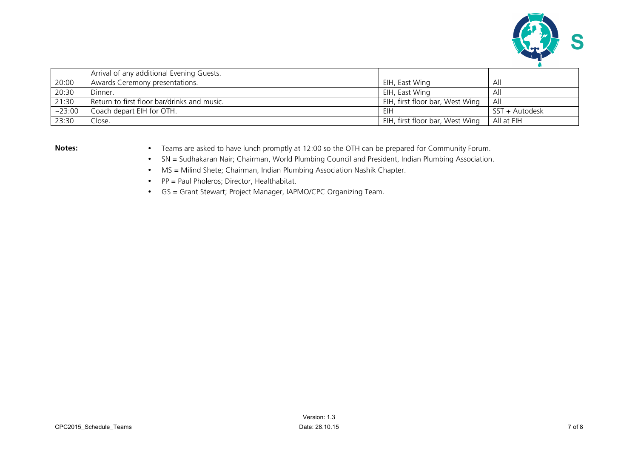

|        | Arrival of any additional Evening Guests.   |                                 |                |
|--------|---------------------------------------------|---------------------------------|----------------|
| 20:00  | Awards Ceremony presentations.              | EIH, East Wing                  | ∴Ali           |
| 20:30  | Dinner.                                     | EIH, East Wing                  | Ah             |
| 21:30  | Return to first floor bar/drinks and music. | EIH, first floor bar, West Wing | All            |
| ~23:00 | Coach depart EIH for OTH.                   | EIH                             | SST + Autodesk |
| 23:30  | Close.                                      | EIH, first floor bar, West Wing | All at EIH     |

- **Notes:** Teams are asked to have lunch promptly at 12:00 so the OTH can be prepared for Community Forum.
	- SN = Sudhakaran Nair; Chairman, World Plumbing Council and President, Indian Plumbing Association.
	- MS = Milind Shete; Chairman, Indian Plumbing Association Nashik Chapter.
	- PP = Paul Pholeros; Director, Healthabitat.
	- GS = Grant Stewart; Project Manager, IAPMO/CPC Organizing Team.